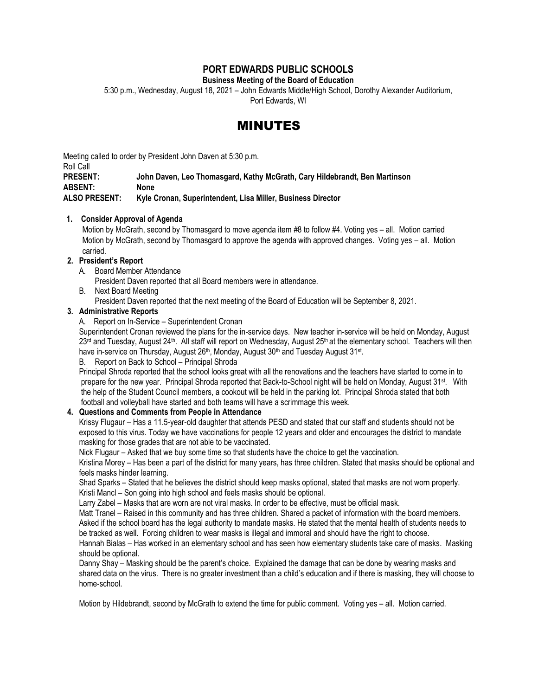# **PORT EDWARDS PUBLIC SCHOOLS**

**Business Meeting of the Board of Education**

5:30 p.m., Wednesday, August 18, 2021 – John Edwards Middle/High School, Dorothy Alexander Auditorium,

Port Edwards, WI

# MINUTES

Meeting called to order by President John Daven at 5:30 p.m.

Roll Call

**PRESENT: John Daven, Leo Thomasgard, Kathy McGrath, Cary Hildebrandt, Ben Martinson ABSENT: None ALSO PRESENT: Kyle Cronan, Superintendent, Lisa Miller, Business Director**

## **1. Consider Approval of Agenda**

Motion by McGrath, second by Thomasgard to move agenda item #8 to follow #4. Voting yes – all. Motion carried Motion by McGrath, second by Thomasgard to approve the agenda with approved changes. Voting yes – all. Motion carried.

# **2. President's Report**

A. Board Member Attendance

President Daven reported that all Board members were in attendance.

- B. Next Board Meeting
	- President Daven reported that the next meeting of the Board of Education will be September 8, 2021.

# **3. Administrative Reports**

A. Report on In-Service – Superintendent Cronan

Superintendent Cronan reviewed the plans for the in-service days. New teacher in-service will be held on Monday, August  $23<sup>rd</sup>$  and Tuesday, August  $24<sup>th</sup>$ . All staff will report on Wednesday, August  $25<sup>th</sup>$  at the elementary school. Teachers will then have in-service on Thursday, August 26<sup>th</sup>, Monday, August 30<sup>th</sup> and Tuesday August 31st.

#### B. Report on Back to School – Principal Shroda

Principal Shroda reported that the school looks great with all the renovations and the teachers have started to come in to prepare for the new year. Principal Shroda reported that Back-to-School night will be held on Monday, August 31<sup>st</sup>. With the help of the Student Council members, a cookout will be held in the parking lot. Principal Shroda stated that both football and volleyball have started and both teams will have a scrimmage this week.

# **4. Questions and Comments from People in Attendance**

Krissy Flugaur – Has a 11.5-year-old daughter that attends PESD and stated that our staff and students should not be exposed to this virus. Today we have vaccinations for people 12 years and older and encourages the district to mandate masking for those grades that are not able to be vaccinated.

Nick Flugaur – Asked that we buy some time so that students have the choice to get the vaccination.

Kristina Morey – Has been a part of the district for many years, has three children. Stated that masks should be optional and feels masks hinder learning.

Shad Sparks – Stated that he believes the district should keep masks optional, stated that masks are not worn properly. Kristi Mancl – Son going into high school and feels masks should be optional.

Larry Zabel – Masks that are worn are not viral masks. In order to be effective, must be official mask.

Matt Tranel – Raised in this community and has three children. Shared a packet of information with the board members. Asked if the school board has the legal authority to mandate masks. He stated that the mental health of students needs to be tracked as well. Forcing children to wear masks is illegal and immoral and should have the right to choose.

Hannah Bialas – Has worked in an elementary school and has seen how elementary students take care of masks. Masking should be optional.

Danny Shay – Masking should be the parent's choice. Explained the damage that can be done by wearing masks and shared data on the virus. There is no greater investment than a child's education and if there is masking, they will choose to home-school.

Motion by Hildebrandt, second by McGrath to extend the time for public comment. Voting yes – all. Motion carried.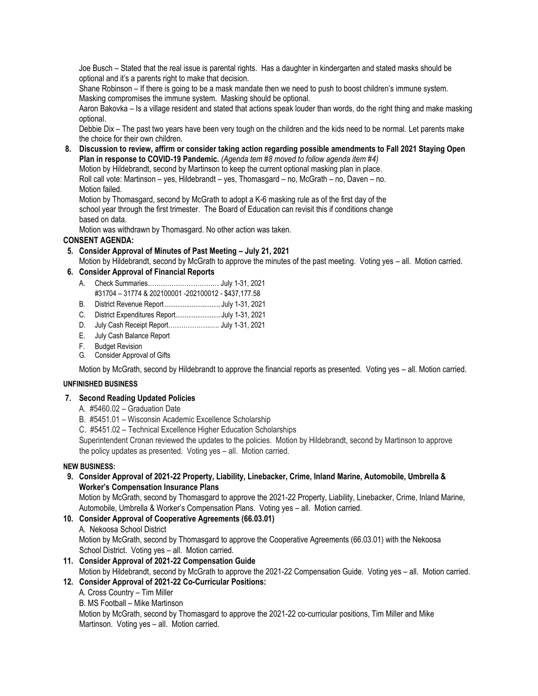Joe Busch – Stated that the real issue is parental rights. Has a daughter in kindergarten and stated masks should be optional and it's a parents right to make that decision.

Shane Robinson – If there is going to be a mask mandate then we need to push to boost children's immune system. Masking compromises the immune system. Masking should be optional.

Aaron Bakovka – Is a village resident and stated that actions speak louder than words, do the right thing and make masking optional.

Debbie Dix – The past two years have been very tough on the children and the kids need to be normal. Let parents make the choice for their own children.

**8. Discussion to review, affirm or consider taking action regarding possible amendments to Fall 2021 Staying Open Plan in response to COVID-19 Pandemic.** *(Agenda tem #8 moved to follow agenda item #4)*

 Motion by Hildebrandt, second by Martinson to keep the current optional masking plan in place. Roll call vote: Martinson – yes, Hildebrandt – yes, Thomasgard – no, McGrath – no, Daven – no.

Motion failed.

 Motion by Thomasgard, second by McGrath to adopt a K-6 masking rule as of the first day of the school year through the first trimester. The Board of Education can revisit this if conditions change based on data.

Motion was withdrawn by Thomasgard. No other action was taken.

# **CONSENT AGENDA:**

 **5. Consider Approval of Minutes of Past Meeting – July 21, 2021** Motion by Hildebrandt, second by McGrath to approve the minutes of the past meeting. Voting yes – all. Motion carried.

# **6. Consider Approval of Financial Reports**

- A. Check Summaries…………………………… July 1-31, 2021 #31704 – 31774 & 202100001 -202100012 - \$437,177.58
- B. District Revenue Report ............................... July 1-31, 2021
- C. District Expenditures Report......................... July 1-31, 2021
- D. July Cash Receipt Report………………..…. July 1-31, 2021
- E. July Cash Balance Report
- F. Budget Revision
- G. Consider Approval of Gifts

Motion by McGrath, second by Hildebrandt to approve the financial reports as presented. Voting yes – all. Motion carried.

#### **UNFINISHED BUSINESS**

#### **7. Second Reading Updated Policies**

- A. #5460.02 Graduation Date
- B. #5451.01 Wisconsin Academic Excellence Scholarship
- C. #5451.02 Technical Excellence Higher Education Scholarships

Superintendent Cronan reviewed the updates to the policies. Motion by Hildebrandt, second by Martinson to approve the policy updates as presented. Voting yes – all. Motion carried.

#### **NEW BUSINESS:**

 **9. Consider Approval of 2021-22 Property, Liability, Linebacker, Crime, Inland Marine, Automobile, Umbrella & Worker's Compensation Insurance Plans**

Motion by McGrath, second by Thomasgard to approve the 2021-22 Property, Liability, Linebacker, Crime, Inland Marine, Automobile, Umbrella & Worker's Compensation Plans. Voting yes – all. Motion carried.

# **10. Consider Approval of Cooperative Agreements (66.03.01)**

A. Nekoosa School District

Motion by McGrath, second by Thomasgard to approve the Cooperative Agreements (66.03.01) with the Nekoosa School District. Voting yes – all. Motion carried.

- **11. Consider Approval of 2021-22 Compensation Guide** Motion by Hildebrandt, second by McGrath to approve the 2021-22 Compensation Guide. Voting yes – all. Motion carried.
- **12. Consider Approval of 2021-22 Co-Curricular Positions:**

A. Cross Country – Tim Miller

B. MS Football – Mike Martinson

Motion by McGrath, second by Thomasgard to approve the 2021-22 co-curricular positions, Tim Miller and Mike Martinson. Voting yes – all. Motion carried.